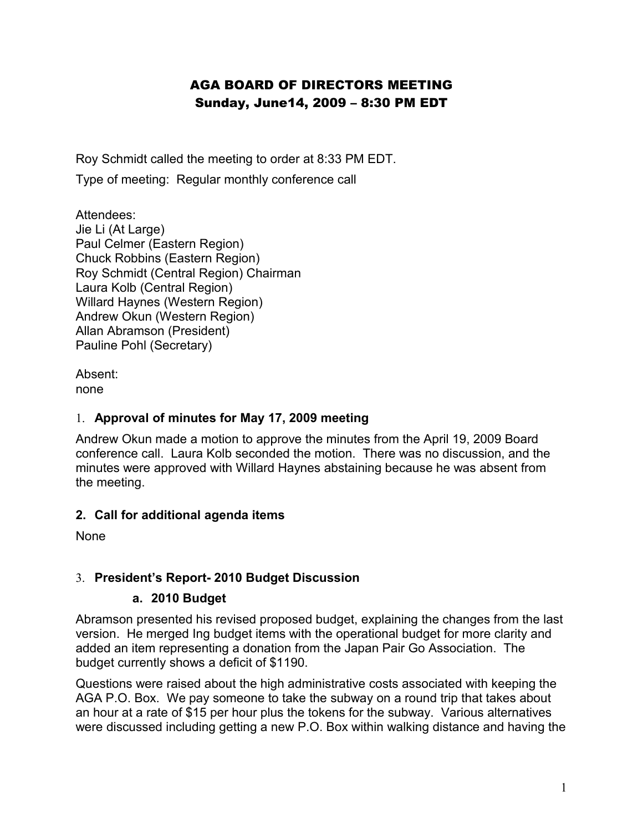## AGA BOARD OF DIRECTORS MEETING Sunday, June14, 2009 – 8:30 PM EDT

Roy Schmidt called the meeting to order at 8:33 PM EDT.

Type of meeting: Regular monthly conference call

Attendees: Jie Li (At Large) Paul Celmer (Eastern Region) Chuck Robbins (Eastern Region) Roy Schmidt (Central Region) Chairman Laura Kolb (Central Region) Willard Haynes (Western Region) Andrew Okun (Western Region) Allan Abramson (President) Pauline Pohl (Secretary)

Absent: none

#### 1. **Approval of minutes for May 17, 2009 meeting**

Andrew Okun made a motion to approve the minutes from the April 19, 2009 Board conference call. Laura Kolb seconded the motion. There was no discussion, and the minutes were approved with Willard Haynes abstaining because he was absent from the meeting.

#### **2. Call for additional agenda items**

None

#### 3. **President's Report- 2010 Budget Discussion**

#### **a. 2010 Budget**

Abramson presented his revised proposed budget, explaining the changes from the last version. He merged Ing budget items with the operational budget for more clarity and added an item representing a donation from the Japan Pair Go Association. The budget currently shows a deficit of \$1190.

Questions were raised about the high administrative costs associated with keeping the AGA P.O. Box. We pay someone to take the subway on a round trip that takes about an hour at a rate of \$15 per hour plus the tokens for the subway. Various alternatives were discussed including getting a new P.O. Box within walking distance and having the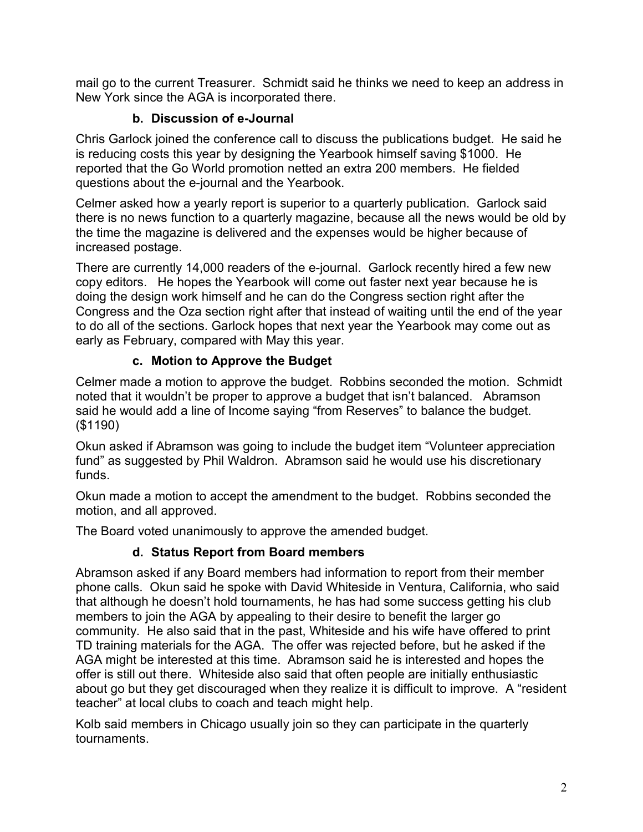mail go to the current Treasurer. Schmidt said he thinks we need to keep an address in New York since the AGA is incorporated there.

## **b. Discussion of e-Journal**

Chris Garlock joined the conference call to discuss the publications budget. He said he is reducing costs this year by designing the Yearbook himself saving \$1000. He reported that the Go World promotion netted an extra 200 members. He fielded questions about the e-journal and the Yearbook.

Celmer asked how a yearly report is superior to a quarterly publication. Garlock said there is no news function to a quarterly magazine, because all the news would be old by the time the magazine is delivered and the expenses would be higher because of increased postage.

There are currently 14,000 readers of the e-journal. Garlock recently hired a few new copy editors. He hopes the Yearbook will come out faster next year because he is doing the design work himself and he can do the Congress section right after the Congress and the Oza section right after that instead of waiting until the end of the year to do all of the sections. Garlock hopes that next year the Yearbook may come out as early as February, compared with May this year.

# **c. Motion to Approve the Budget**

Celmer made a motion to approve the budget. Robbins seconded the motion. Schmidt noted that it wouldn't be proper to approve a budget that isn't balanced. Abramson said he would add a line of Income saying "from Reserves" to balance the budget. (\$1190)

Okun asked if Abramson was going to include the budget item "Volunteer appreciation fund" as suggested by Phil Waldron. Abramson said he would use his discretionary funds.

Okun made a motion to accept the amendment to the budget. Robbins seconded the motion, and all approved.

The Board voted unanimously to approve the amended budget.

# **d. Status Report from Board members**

Abramson asked if any Board members had information to report from their member phone calls. Okun said he spoke with David Whiteside in Ventura, California, who said that although he doesn't hold tournaments, he has had some success getting his club members to join the AGA by appealing to their desire to benefit the larger go community. He also said that in the past, Whiteside and his wife have offered to print TD training materials for the AGA. The offer was rejected before, but he asked if the AGA might be interested at this time. Abramson said he is interested and hopes the offer is still out there. Whiteside also said that often people are initially enthusiastic about go but they get discouraged when they realize it is difficult to improve. A "resident teacher" at local clubs to coach and teach might help.

Kolb said members in Chicago usually join so they can participate in the quarterly tournaments.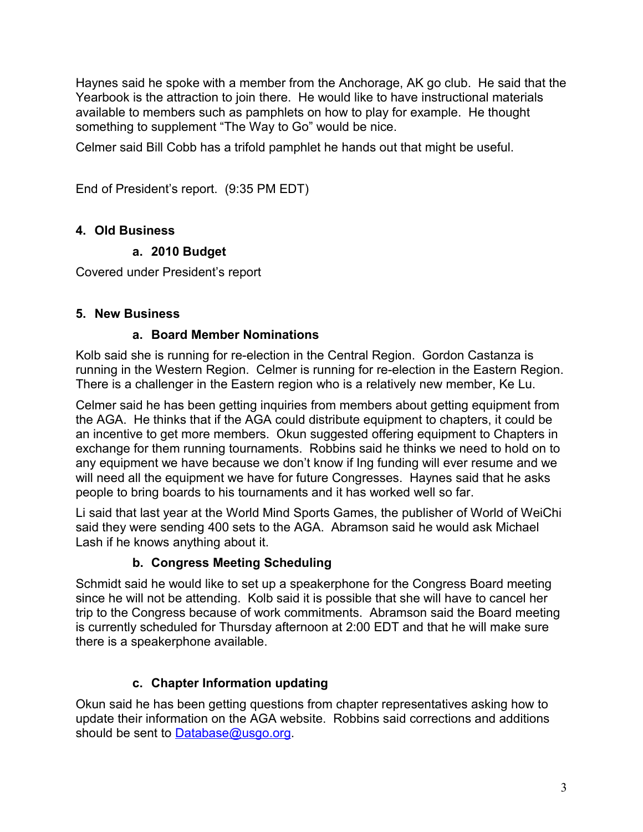Haynes said he spoke with a member from the Anchorage, AK go club. He said that the Yearbook is the attraction to join there. He would like to have instructional materials available to members such as pamphlets on how to play for example. He thought something to supplement "The Way to Go" would be nice.

Celmer said Bill Cobb has a trifold pamphlet he hands out that might be useful.

End of President's report. (9:35 PM EDT)

## **4. Old Business**

### **a. 2010 Budget**

Covered under President's report

### **5. New Business**

#### **a. Board Member Nominations**

Kolb said she is running for re-election in the Central Region. Gordon Castanza is running in the Western Region. Celmer is running for re-election in the Eastern Region. There is a challenger in the Eastern region who is a relatively new member, Ke Lu.

Celmer said he has been getting inquiries from members about getting equipment from the AGA. He thinks that if the AGA could distribute equipment to chapters, it could be an incentive to get more members. Okun suggested offering equipment to Chapters in exchange for them running tournaments. Robbins said he thinks we need to hold on to any equipment we have because we don't know if Ing funding will ever resume and we will need all the equipment we have for future Congresses. Haynes said that he asks people to bring boards to his tournaments and it has worked well so far.

Li said that last year at the World Mind Sports Games, the publisher of World of WeiChi said they were sending 400 sets to the AGA. Abramson said he would ask Michael Lash if he knows anything about it.

## **b. Congress Meeting Scheduling**

Schmidt said he would like to set up a speakerphone for the Congress Board meeting since he will not be attending. Kolb said it is possible that she will have to cancel her trip to the Congress because of work commitments. Abramson said the Board meeting is currently scheduled for Thursday afternoon at 2:00 EDT and that he will make sure there is a speakerphone available.

## **c. Chapter Information updating**

Okun said he has been getting questions from chapter representatives asking how to update their information on the AGA website. Robbins said corrections and additions should be sent to [Database@usgo.org.](mailto:Database@usgo.org)